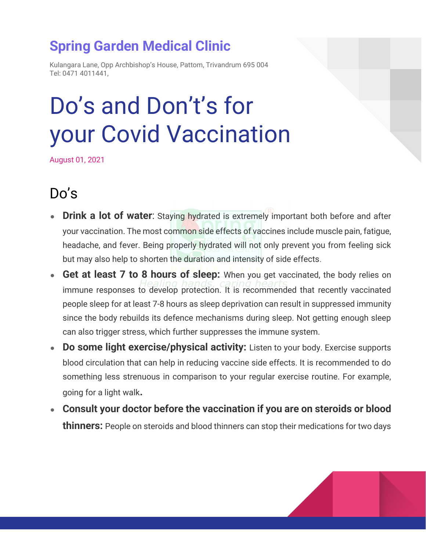### **Spring Garden Medical Clinic**

Kulangara Lane, Opp Archbishop's House, Pattom, Trivandrum 695 004 Tel: 0471 4011441,

# Do's and Don't's for your Covid Vaccination

August 01, 2021

# Do's

- **Drink a lot of water**: Staying hydrated is extremely important both before and after your vaccination. The most common side effects of vaccines include muscle pain, fatigue, headache, and fever. Being properly hydrated will not only prevent you from feeling sick but may also help to shorten the duration and intensity of side effects.
- **Get at least 7 to 8 hours of sleep:** When you get vaccinated, the body relies on immune responses to develop protection. It is recommended that recently vaccinated people sleep for at least 7-8 hours as sleep deprivation can result in suppressed immunity since the body rebuilds its defence mechanisms during sleep. Not getting enough sleep can also trigger stress, which further suppresses the immune system.
- **Do some light exercise/physical activity:** Listen to your body. Exercise supports blood circulation that can help in reducing vaccine side effects. It is recommended to do something less strenuous in comparison to your regular exercise routine. For example, going for a light walk**.**
- **Consult your doctor before the vaccination if you are on steroids or blood thinners:** People on steroids and blood thinners can stop their medications for two days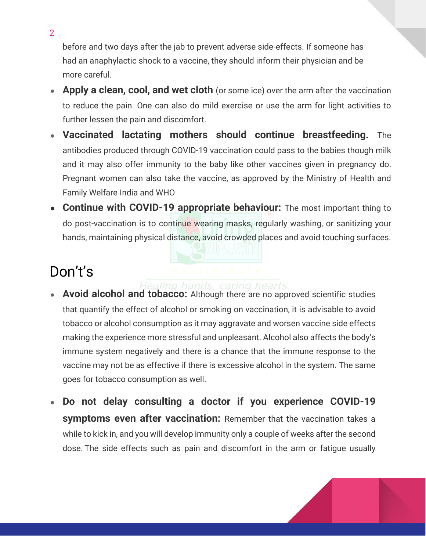before and two days after the jab to prevent adverse side-effects. If someone has had an anaphylactic shock to a vaccine, they should inform their physician and be more careful.

- **Apply a clean, cool, and wet cloth** (or some ice) over the arm after the vaccination to reduce the pain. One can also do mild exercise or use the arm for light activities to further lessen the pain and discomfort.
- **Vaccinated lactating mothers should continue breastfeeding.** The antibodies produced through COVID-19 vaccination could pass to the babies though milk and it may also offer immunity to the baby like other vaccines given in pregnancy do. Pregnant women can also take the vaccine, as approved by the Ministry of Health and Family Welfare India and WHO
- **Continue with COVID-19 appropriate behaviour:** The most important thing to do post-vaccination is to continue wearing masks, regularly washing, or sanitizing your hands, maintaining physical distance, avoid crowded places and avoid touching surfaces.

## Don't's

#### s, caring hearts

- **Avoid alcohol and tobacco:** Although there are no approved scientific studies that quantify the effect of alcohol or smoking on vaccination, it is advisable to avoid tobacco or alcohol consumption as it may aggravate and worsen vaccine side effects making the experience more stressful and unpleasant. Alcohol also affects the body's immune system negatively and there is a chance that the immune response to the vaccine may not be as effective if there is excessive alcohol in the system. The same goes for tobacco consumption as well.
- **Do not delay consulting a doctor if you experience COVID-19 symptoms even after vaccination:** Remember that the vaccination takes a while to kick in, and you will develop immunity only a couple of weeks after the second dose. The side effects such as pain and discomfort in the arm or fatigue usually



2